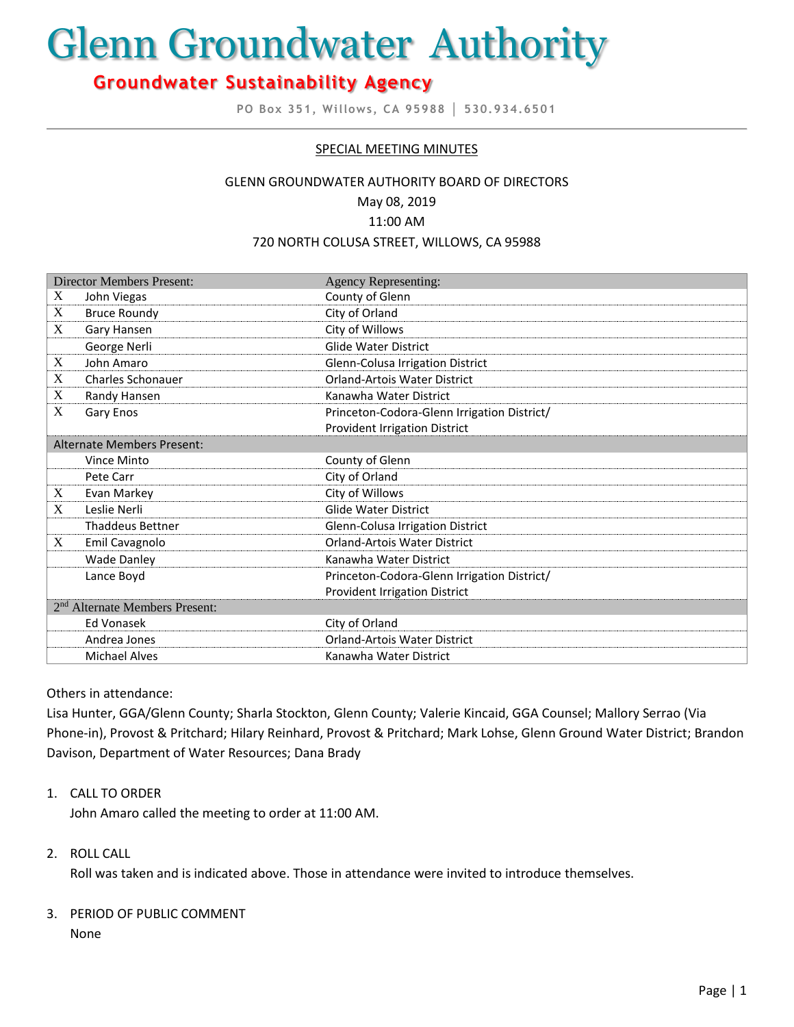# Glenn Groundwater Authority

# **Groundwater Sustainability Agency**

**PO Box 351, Willows, CA 95988 │ 530.934.6501**

### SPECIAL MEETING MINUTES

#### GLENN GROUNDWATER AUTHORITY BOARD OF DIRECTORS

May 08, 2019

11:00 AM

#### 720 NORTH COLUSA STREET, WILLOWS, CA 95988

| <b>Director Members Present:</b>           |                          | <b>Agency Representing:</b>                 |
|--------------------------------------------|--------------------------|---------------------------------------------|
| X                                          | John Viegas              | County of Glenn                             |
| X                                          | <b>Bruce Roundy</b>      | City of Orland                              |
| X                                          | Gary Hansen              | City of Willows                             |
|                                            | George Nerli             | <b>Glide Water District</b>                 |
| X                                          | John Amaro               | Glenn-Colusa Irrigation District            |
| X                                          | <b>Charles Schonauer</b> | <b>Orland-Artois Water District</b>         |
| X                                          | Randy Hansen             | Kanawha Water District                      |
| X                                          | Gary Enos                | Princeton-Codora-Glenn Irrigation District/ |
|                                            |                          | <b>Provident Irrigation District</b>        |
| Alternate Members Present:                 |                          |                                             |
|                                            | Vince Minto              | County of Glenn                             |
|                                            | Pete Carr                | City of Orland                              |
| X                                          | Evan Markey              | City of Willows                             |
| X                                          | Leslie Nerli             | <b>Glide Water District</b>                 |
|                                            | <b>Thaddeus Bettner</b>  | Glenn-Colusa Irrigation District            |
| X                                          | Emil Cavagnolo           | Orland-Artois Water District                |
|                                            | <b>Wade Danley</b>       | Kanawha Water District                      |
|                                            | Lance Boyd               | Princeton-Codora-Glenn Irrigation District/ |
|                                            |                          | Provident Irrigation District               |
| 2 <sup>nd</sup> Alternate Members Present: |                          |                                             |
|                                            | Ed Vonasek               | City of Orland                              |
|                                            | Andrea Jones             | <b>Orland-Artois Water District</b>         |
|                                            | <b>Michael Alves</b>     | Kanawha Water District                      |

#### Others in attendance:

Lisa Hunter, GGA/Glenn County; Sharla Stockton, Glenn County; Valerie Kincaid, GGA Counsel; Mallory Serrao (Via Phone-in), Provost & Pritchard; Hilary Reinhard, Provost & Pritchard; Mark Lohse, Glenn Ground Water District; Brandon Davison, Department of Water Resources; Dana Brady

#### 1. CALL TO ORDER

John Amaro called the meeting to order at 11:00 AM.

#### 2. ROLL CALL

Roll was taken and is indicated above. Those in attendance were invited to introduce themselves.

# 3. PERIOD OF PUBLIC COMMENT

None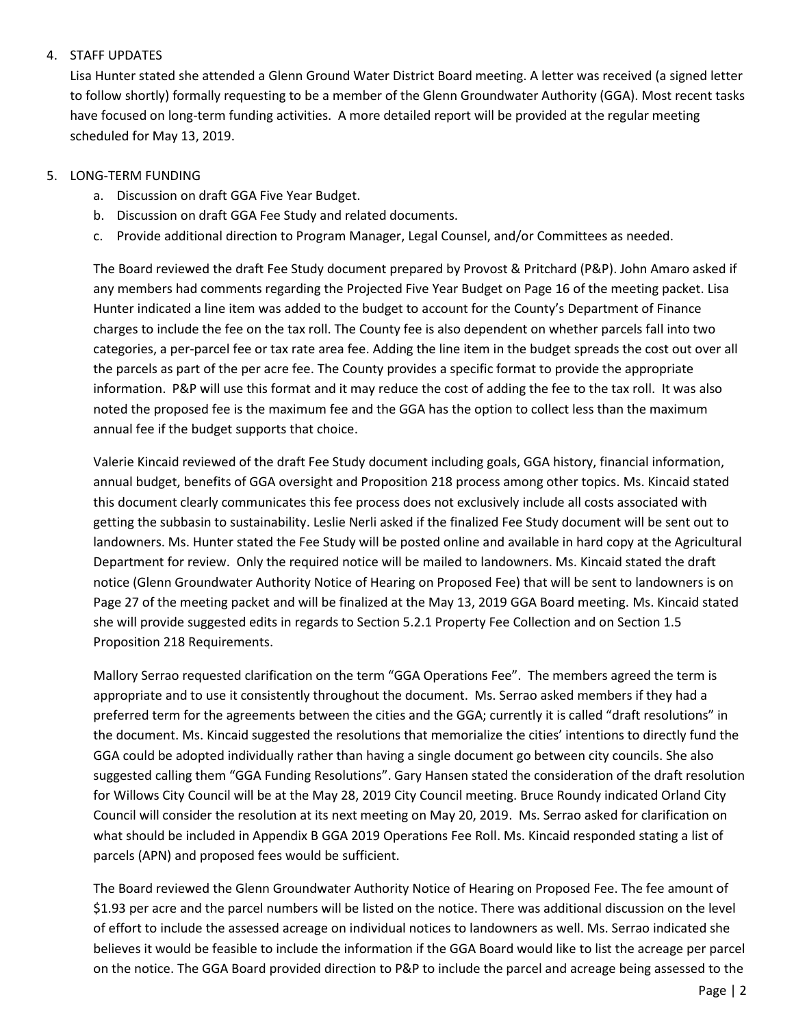# 4. STAFF UPDATES

Lisa Hunter stated she attended a Glenn Ground Water District Board meeting. A letter was received (a signed letter to follow shortly) formally requesting to be a member of the Glenn Groundwater Authority (GGA). Most recent tasks have focused on long-term funding activities. A more detailed report will be provided at the regular meeting scheduled for May 13, 2019.

# 5. LONG-TERM FUNDING

- a. Discussion on draft GGA Five Year Budget.
- b. Discussion on draft GGA Fee Study and related documents.
- c. Provide additional direction to Program Manager, Legal Counsel, and/or Committees as needed.

The Board reviewed the draft Fee Study document prepared by Provost & Pritchard (P&P). John Amaro asked if any members had comments regarding the Projected Five Year Budget on Page 16 of the meeting packet. Lisa Hunter indicated a line item was added to the budget to account for the County's Department of Finance charges to include the fee on the tax roll. The County fee is also dependent on whether parcels fall into two categories, a per-parcel fee or tax rate area fee. Adding the line item in the budget spreads the cost out over all the parcels as part of the per acre fee. The County provides a specific format to provide the appropriate information. P&P will use this format and it may reduce the cost of adding the fee to the tax roll. It was also noted the proposed fee is the maximum fee and the GGA has the option to collect less than the maximum annual fee if the budget supports that choice.

Valerie Kincaid reviewed of the draft Fee Study document including goals, GGA history, financial information, annual budget, benefits of GGA oversight and Proposition 218 process among other topics. Ms. Kincaid stated this document clearly communicates this fee process does not exclusively include all costs associated with getting the subbasin to sustainability. Leslie Nerli asked if the finalized Fee Study document will be sent out to landowners. Ms. Hunter stated the Fee Study will be posted online and available in hard copy at the Agricultural Department for review. Only the required notice will be mailed to landowners. Ms. Kincaid stated the draft notice (Glenn Groundwater Authority Notice of Hearing on Proposed Fee) that will be sent to landowners is on Page 27 of the meeting packet and will be finalized at the May 13, 2019 GGA Board meeting. Ms. Kincaid stated she will provide suggested edits in regards to Section 5.2.1 Property Fee Collection and on Section 1.5 Proposition 218 Requirements.

Mallory Serrao requested clarification on the term "GGA Operations Fee". The members agreed the term is appropriate and to use it consistently throughout the document. Ms. Serrao asked members if they had a preferred term for the agreements between the cities and the GGA; currently it is called "draft resolutions" in the document. Ms. Kincaid suggested the resolutions that memorialize the cities' intentions to directly fund the GGA could be adopted individually rather than having a single document go between city councils. She also suggested calling them "GGA Funding Resolutions". Gary Hansen stated the consideration of the draft resolution for Willows City Council will be at the May 28, 2019 City Council meeting. Bruce Roundy indicated Orland City Council will consider the resolution at its next meeting on May 20, 2019. Ms. Serrao asked for clarification on what should be included in Appendix B GGA 2019 Operations Fee Roll. Ms. Kincaid responded stating a list of parcels (APN) and proposed fees would be sufficient.

The Board reviewed the Glenn Groundwater Authority Notice of Hearing on Proposed Fee. The fee amount of \$1.93 per acre and the parcel numbers will be listed on the notice. There was additional discussion on the level of effort to include the assessed acreage on individual notices to landowners as well. Ms. Serrao indicated she believes it would be feasible to include the information if the GGA Board would like to list the acreage per parcel on the notice. The GGA Board provided direction to P&P to include the parcel and acreage being assessed to the